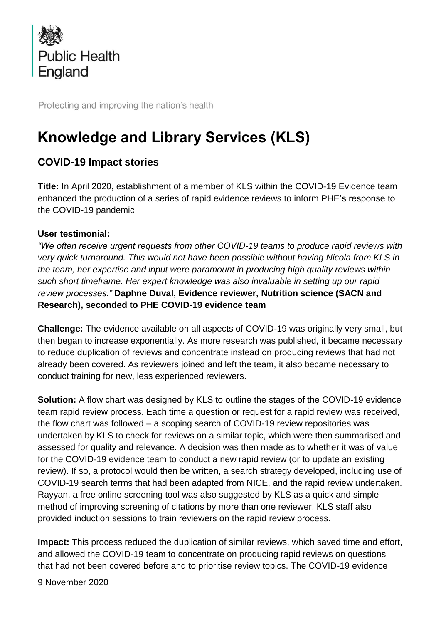

Protecting and improving the nation's health

# **Knowledge and Library Services (KLS)**

# **COVID-19 Impact stories**

**Title:** In April 2020, establishment of a member of KLS within the COVID-19 Evidence team enhanced the production of a series of rapid evidence reviews to inform PHE's response to the COVID-19 pandemic

## **User testimonial:**

*"We often receive urgent requests from other COVID-19 teams to produce rapid reviews with very quick turnaround. This would not have been possible without having Nicola from KLS in the team, her expertise and input were paramount in producing high quality reviews within such short timeframe. Her expert knowledge was also invaluable in setting up our rapid review processes."* **Daphne Duval, Evidence reviewer, Nutrition science (SACN and Research), seconded to PHE COVID-19 evidence team**

**Challenge:** The evidence available on all aspects of COVID-19 was originally very small, but then began to increase exponentially. As more research was published, it became necessary to reduce duplication of reviews and concentrate instead on producing reviews that had not already been covered. As reviewers joined and left the team, it also became necessary to conduct training for new, less experienced reviewers.

**Solution:** A flow chart was designed by KLS to outline the stages of the COVID-19 evidence team rapid review process. Each time a question or request for a rapid review was received, the flow chart was followed – a scoping search of COVID-19 review repositories was undertaken by KLS to check for reviews on a similar topic, which were then summarised and assessed for quality and relevance. A decision was then made as to whether it was of value for the COVID-19 evidence team to conduct a new rapid review (or to update an existing review). If so, a protocol would then be written, a search strategy developed, including use of COVID-19 search terms that had been adapted from NICE, and the rapid review undertaken. Rayyan, a free online screening tool was also suggested by KLS as a quick and simple method of improving screening of citations by more than one reviewer. KLS staff also provided induction sessions to train reviewers on the rapid review process.

**Impact:** This process reduced the duplication of similar reviews, which saved time and effort, and allowed the COVID-19 team to concentrate on producing rapid reviews on questions that had not been covered before and to prioritise review topics. The COVID-19 evidence

9 November 2020